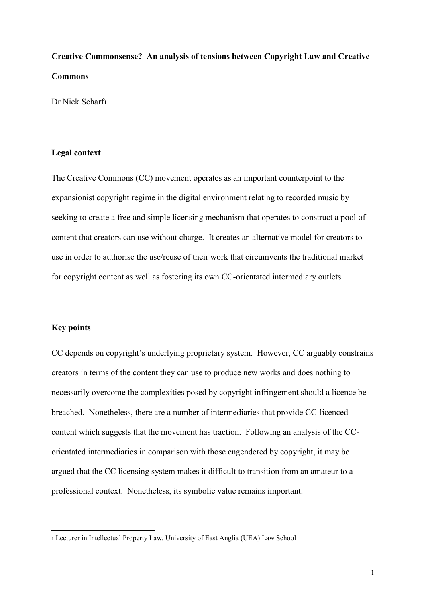# **Creative Commonsense? An analysis of tensions between Copyright Law and Creative Commons**

Dr Nick Scharf<sup>1</sup>

## **Legal context**

The Creative Commons (CC) movement operates as an important counterpoint to the expansionist copyright regime in the digital environment relating to recorded music by seeking to create a free and simple licensing mechanism that operates to construct a pool of content that creators can use without charge. It creates an alternative model for creators to use in order to authorise the use/reuse of their work that circumvents the traditional market for copyright content as well as fostering its own CC-orientated intermediary outlets.

# **Key points**

**.** 

CC depends on copyright's underlying proprietary system. However, CC arguably constrains creators in terms of the content they can use to produce new works and does nothing to necessarily overcome the complexities posed by copyright infringement should a licence be breached. Nonetheless, there are a number of intermediaries that provide CC-licenced content which suggests that the movement has traction. Following an analysis of the CCorientated intermediaries in comparison with those engendered by copyright, it may be argued that the CC licensing system makes it difficult to transition from an amateur to a professional context. Nonetheless, its symbolic value remains important.

<sup>1</sup> Lecturer in Intellectual Property Law, University of East Anglia (UEA) Law School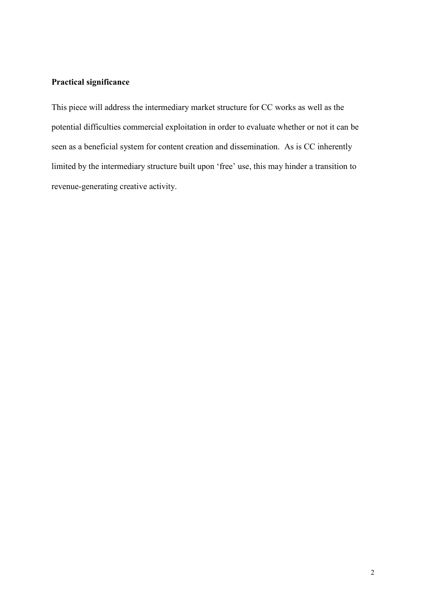# **Practical significance**

This piece will address the intermediary market structure for CC works as well as the potential difficulties commercial exploitation in order to evaluate whether or not it can be seen as a beneficial system for content creation and dissemination. As is CC inherently limited by the intermediary structure built upon 'free' use, this may hinder a transition to revenue-generating creative activity.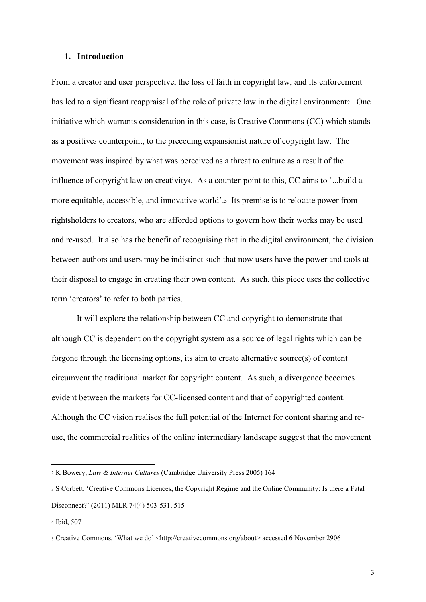#### **1. Introduction**

From a creator and user perspective, the loss of faith in copyright law, and its enforcement has led to a significant reappraisal of the role of private law in the digital environment<sub>2</sub>. One initiative which warrants consideration in this case, is Creative Commons (CC) which stands as a positive<sup>3</sup> counterpoint, to the preceding expansionist nature of copyright law. The movement was inspired by what was perceived as a threat to culture as a result of the influence of copyright law on creativity4. As a counter-point to this, CC aims to '...build a more equitable, accessible, and innovative world'.5 Its premise is to relocate power from rightsholders to creators, who are afforded options to govern how their works may be used and re-used. It also has the benefit of recognising that in the digital environment, the division between authors and users may be indistinct such that now users have the power and tools at their disposal to engage in creating their own content. As such, this piece uses the collective term 'creators' to refer to both parties.

It will explore the relationship between CC and copyright to demonstrate that although CC is dependent on the copyright system as a source of legal rights which can be forgone through the licensing options, its aim to create alternative source(s) of content circumvent the traditional market for copyright content. As such, a divergence becomes evident between the markets for CC-licensed content and that of copyrighted content. Although the CC vision realises the full potential of the Internet for content sharing and reuse, the commercial realities of the online intermediary landscape suggest that the movement

<sup>2</sup> K Bowery, *Law & Internet Cultures* (Cambridge University Press 2005) 164

<sup>3</sup> S Corbett, 'Creative Commons Licences, the Copyright Regime and the Online Community: Is there a Fatal Disconnect?' (2011) MLR 74(4) 503-531, 515

<sup>4</sup> Ibid, 507

<sup>5</sup> Creative Commons, 'What we do' <http://creativecommons.org/about> accessed 6 November 2906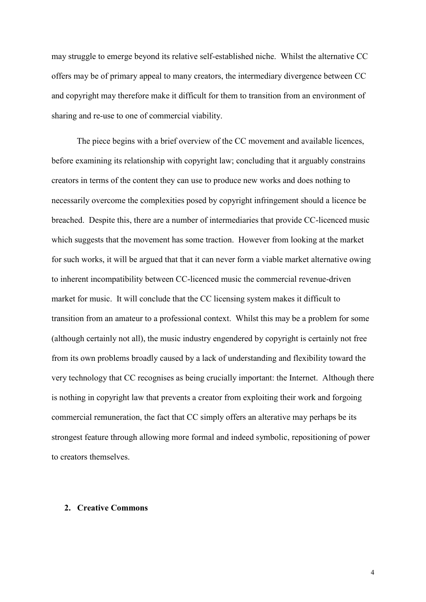may struggle to emerge beyond its relative self-established niche. Whilst the alternative CC offers may be of primary appeal to many creators, the intermediary divergence between CC and copyright may therefore make it difficult for them to transition from an environment of sharing and re-use to one of commercial viability.

The piece begins with a brief overview of the CC movement and available licences, before examining its relationship with copyright law; concluding that it arguably constrains creators in terms of the content they can use to produce new works and does nothing to necessarily overcome the complexities posed by copyright infringement should a licence be breached. Despite this, there are a number of intermediaries that provide CC-licenced music which suggests that the movement has some traction. However from looking at the market for such works, it will be argued that that it can never form a viable market alternative owing to inherent incompatibility between CC-licenced music the commercial revenue-driven market for music. It will conclude that the CC licensing system makes it difficult to transition from an amateur to a professional context. Whilst this may be a problem for some (although certainly not all), the music industry engendered by copyright is certainly not free from its own problems broadly caused by a lack of understanding and flexibility toward the very technology that CC recognises as being crucially important: the Internet. Although there is nothing in copyright law that prevents a creator from exploiting their work and forgoing commercial remuneration, the fact that CC simply offers an alterative may perhaps be its strongest feature through allowing more formal and indeed symbolic, repositioning of power to creators themselves.

## **2. Creative Commons**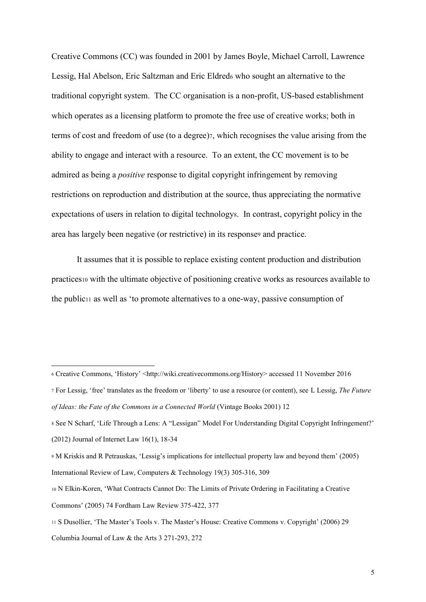Creative Commons (CC) was founded in 2001 by James Boyle, Michael Carroll, Lawrence Lessig, Hal Abelson, Eric Saltzman and Eric Eldred<sup>6</sup> who sought an alternative to the traditional copyright system. The CC organisation is a non-profit, US-based establishment which operates as a licensing platform to promote the free use of creative works; both in terms of cost and freedom of use (to a degree)7, which recognises the value arising from the ability to engage and interact with a resource. To an extent, the CC movement is to be admired as being a *positive* response to digital copyright infringement by removing restrictions on reproduction and distribution at the source, thus appreciating the normative expectations of users in relation to digital technologys. In contrast, copyright policy in the area has largely been negative (or restrictive) in its response<sup>9</sup> and practice.

It assumes that it is possible to replace existing content production and distribution practices<sup>10</sup> with the ultimate objective of positioning creative works as resources available to the public<sup>11</sup> as well as 'to promote alternatives to a one-way, passive consumption of

 $\overline{a}$ 

<sup>6</sup> Creative Commons, 'History' <http://wiki.creativecommons.org/History> accessed 11 November 2016

<sup>7</sup> For Lessig, 'free' translates as the freedom or 'liberty' to use a resource (or content), see L Lessig, *The Future of Ideas: the Fate of the Commons in a Connected World* (Vintage Books 2001) 12

<sup>8</sup> See N Scharf, 'Life Through a Lens: A "Lessigan" Model For Understanding Digital Copyright Infringement?' (2012) Journal of Internet Law 16(1), 18-34

<sup>9</sup> M Kriskis and R Petrauskas, 'Lessig's implications for intellectual property law and beyond them' (2005) International Review of Law, Computers & Technology 19(3) 305-316, 309

<sup>10</sup> N Elkin-Koren, 'What Contracts Cannot Do: The Limits of Private Ordering in Facilitating a Creative Commons' (2005) 74 Fordham Law Review 375-422, 377

<sup>11</sup> S Dusollier, 'The Master's Tools v. The Master's House: Creative Commons v. Copyright' (2006) 29 Columbia Journal of Law & the Arts 3 271-293, 272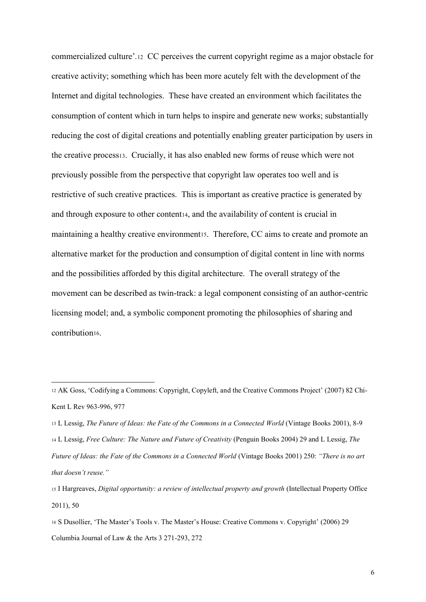commercialized culture'*.*12 CC perceives the current copyright regime as a major obstacle for creative activity; something which has been more acutely felt with the development of the Internet and digital technologies. These have created an environment which facilitates the consumption of content which in turn helps to inspire and generate new works; substantially reducing the cost of digital creations and potentially enabling greater participation by users in the creative process13. Crucially, it has also enabled new forms of reuse which were not previously possible from the perspective that copyright law operates too well and is restrictive of such creative practices. This is important as creative practice is generated by and through exposure to other content<sub>14</sub>, and the availability of content is crucial in maintaining a healthy creative environment is. Therefore, CC aims to create and promote an alternative market for the production and consumption of digital content in line with norms and the possibilities afforded by this digital architecture. The overall strategy of the movement can be described as twin-track: a legal component consisting of an author-centric licensing model; and, a symbolic component promoting the philosophies of sharing and contribution<sub>16</sub>.

<sup>12</sup> AK Goss, 'Codifying a Commons: Copyright, Copyleft, and the Creative Commons Project' (2007) 82 Chi-Kent L Rev 963-996, 977

<sup>13</sup> L Lessig, *The Future of Ideas: the Fate of the Commons in a Connected World* (Vintage Books 2001), 8-9 <sup>14</sup> L Lessig, *Free Culture: The Nature and Future of Creativity* (Penguin Books 2004) 29 and L Lessig, *The Future of Ideas: the Fate of the Commons in a Connected World* (Vintage Books 2001) 250: *"There is no art that doesn't reuse."*

<sup>15</sup> I Hargreaves, *Digital opportunity: a review of intellectual property and growth* (Intellectual Property Office 2011), 50

<sup>16</sup> S Dusollier, 'The Master's Tools v. The Master's House: Creative Commons v. Copyright' (2006) 29 Columbia Journal of Law & the Arts 3 271-293, 272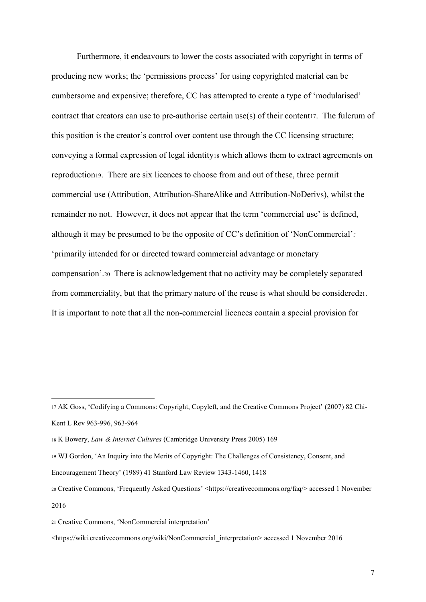Furthermore, it endeavours to lower the costs associated with copyright in terms of producing new works; the 'permissions process' for using copyrighted material can be cumbersome and expensive; therefore, CC has attempted to create a type of 'modularised' contract that creators can use to pre-authorise certain use(s) of their contentiz. The fulcrum of this position is the creator's control over content use through the CC licensing structure; conveying a formal expression of legal identity<sup>18</sup> which allows them to extract agreements on reproduction19. There are six licences to choose from and out of these, three permit commercial use (Attribution, Attribution-ShareAlike and Attribution-NoDerivs), whilst the remainder no not. However, it does not appear that the term 'commercial use' is defined, although it may be presumed to be the opposite of CC's definition of 'NonCommercial'*:*  'primarily intended for or directed toward commercial advantage or monetary compensation'.<sup>20</sup> There is acknowledgement that no activity may be completely separated from commerciality, but that the primary nature of the reuse is what should be considered21. It is important to note that all the non-commercial licences contain a special provision for

1

<sup>17</sup> AK Goss, 'Codifying a Commons: Copyright, Copyleft, and the Creative Commons Project' (2007) 82 Chi-Kent L Rev 963-996, 963-964

<sup>18</sup> K Bowery, *Law & Internet Cultures* (Cambridge University Press 2005) 169

<sup>19</sup> WJ Gordon, 'An Inquiry into the Merits of Copyright: The Challenges of Consistency, Consent, and

Encouragement Theory' (1989) 41 Stanford Law Review 1343-1460, 1418

<sup>20</sup> Creative Commons, 'Frequently Asked Questions' <https://creativecommons.org/faq/> accessed 1 November 2016

<sup>21</sup> Creative Commons, 'NonCommercial interpretation'

<sup>&</sup>lt;https://wiki.creativecommons.org/wiki/NonCommercial\_interpretation> accessed 1 November 2016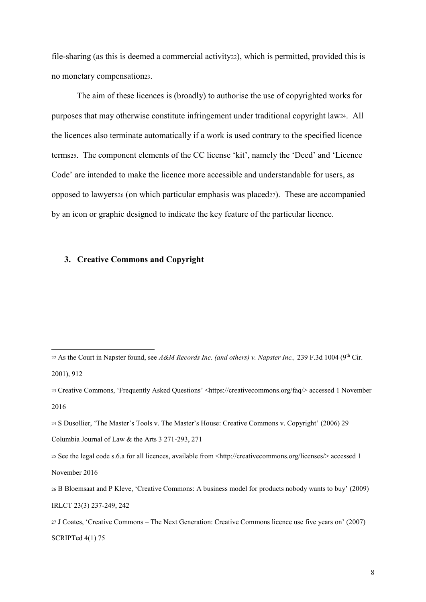file-sharing (as this is deemed a commercial activity<sub>22</sub>), which is permitted, provided this is no monetary compensation23.

The aim of these licences is (broadly) to authorise the use of copyrighted works for purposes that may otherwise constitute infringement under traditional copyright law24. All the licences also terminate automatically if a work is used contrary to the specified licence terms25. The component elements of the CC license 'kit', namely the 'Deed' and 'Licence Code' are intended to make the licence more accessible and understandable for users, as opposed to lawyers<sup>26</sup> (on which particular emphasis was placed27). These are accompanied by an icon or graphic designed to indicate the key feature of the particular licence.

## **3. Creative Commons and Copyright**

<sup>22</sup> As the Court in Napster found, see *A&M Records Inc. (and others) v. Napster Inc.*, 239 F.3d 1004 (9<sup>th</sup> Cir. 2001), 912

<sup>23</sup> Creative Commons, 'Frequently Asked Questions' <https://creativecommons.org/faq/> accessed 1 November 2016

<sup>24</sup> S Dusollier, 'The Master's Tools v. The Master's House: Creative Commons v. Copyright' (2006) 29

Columbia Journal of Law & the Arts 3 271-293, 271

<sup>25</sup> See the legal code s.6.a for all licences, available from <http://creativecommons.org/licenses/> accessed 1 November 2016

<sup>26</sup> B Bloemsaat and P Kleve, 'Creative Commons: A business model for products nobody wants to buy' (2009) IRLCT 23(3) 237-249, 242

<sup>27</sup> J Coates, 'Creative Commons – The Next Generation: Creative Commons licence use five years on' (2007) SCRIPTed 4(1) 75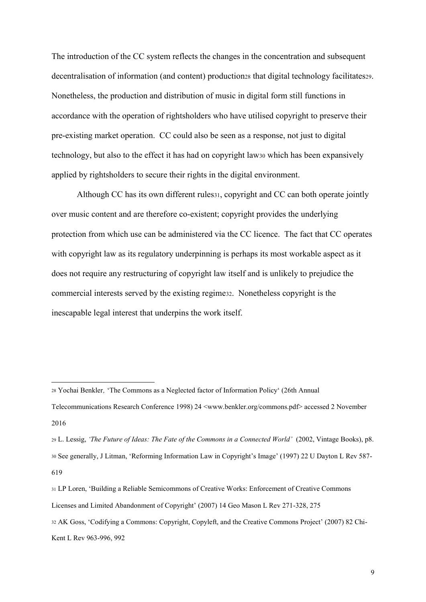The introduction of the CC system reflects the changes in the concentration and subsequent decentralisation of information (and content) production<sup>28</sup> that digital technology facilitates29. Nonetheless, the production and distribution of music in digital form still functions in accordance with the operation of rightsholders who have utilised copyright to preserve their pre-existing market operation. CC could also be seen as a response, not just to digital technology, but also to the effect it has had on copyright law<sup>30</sup> which has been expansively applied by rightsholders to secure their rights in the digital environment.

Although CC has its own different rules31, copyright and CC can both operate jointly over music content and are therefore co-existent; copyright provides the underlying protection from which use can be administered via the CC licence. The fact that CC operates with copyright law as its regulatory underpinning is perhaps its most workable aspect as it does not require any restructuring of copyright law itself and is unlikely to prejudice the commercial interests served by the existing regime32. Nonetheless copyright is the inescapable legal interest that underpins the work itself.

<sup>28</sup> Yochai Benkler*'* 'The Commons as a Neglected factor of Information Policy' (26th Annual

Telecommunications Research Conference 1998) 24 <www.benkler.org/commons.pdf> accessed 2 November 2016

<sup>29</sup> L. Lessig, *'The Future of Ideas: The Fate of the Commons in a Connected World'* (2002, Vintage Books), p8. <sup>30</sup> See generally, J Litman, 'Reforming Information Law in Copyright's Image' (1997) 22 U Dayton L Rev 587- 619

<sup>31</sup> LP Loren, 'Building a Reliable Semicommons of Creative Works: Enforcement of Creative Commons Licenses and Limited Abandonment of Copyright' (2007) 14 Geo Mason L Rev 271-328, 275

<sup>32</sup> AK Goss, 'Codifying a Commons: Copyright, Copyleft, and the Creative Commons Project' (2007) 82 Chi-Kent L Rev 963-996, 992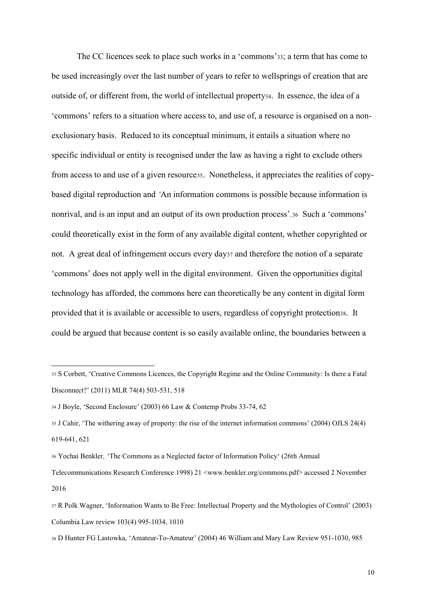The CC licences seek to place such works in a 'commons'33; a term that has come to be used increasingly over the last number of years to refer to wellsprings of creation that are outside of, or different from, the world of intellectual property34. In essence, the idea of a 'commons' refers to a situation where access to, and use of, a resource is organised on a nonexclusionary basis. Reduced to its conceptual minimum, it entails a situation where no specific individual or entity is recognised under the law as having a right to exclude others from access to and use of a given resource35. Nonetheless, it appreciates the realities of copybased digital reproduction and *'*An information commons is possible because information is nonrival, and is an input and an output of its own production process'*.*<sup>36</sup> Such a 'commons' could theoretically exist in the form of any available digital content, whether copyrighted or not. A great deal of infringement occurs every day<sup>37</sup> and therefore the notion of a separate 'commons' does not apply well in the digital environment. Given the opportunities digital technology has afforded, the commons here can theoretically be any content in digital form provided that it is available or accessible to users, regardless of copyright protection38. It could be argued that because content is so easily available online, the boundaries between a

 $\overline{a}$ 

<sup>33</sup> S Corbett, 'Creative Commons Licences, the Copyright Regime and the Online Community: Is there a Fatal Disconnect?' (2011) MLR 74(4) 503-531, 518

<sup>34</sup> J Boyle, 'Second Enclosure' (2003) 66 Law & Contemp Probs 33-74, 62

<sup>35</sup> J Cahir, 'The withering away of property: the rise of the internet information commons' (2004) OJLS 24(4) 619-641, 621

<sup>36</sup> Yochai Benkler*'* 'The Commons as a Neglected factor of Information Policy' (26th Annual

Telecommunications Research Conference 1998) 21 <www.benkler.org/commons.pdf> accessed 2 November 2016

<sup>37</sup> R Polk Wagner, 'Information Wants to Be Free: Intellectual Property and the Mythologies of Control' (2003) Columbia Law review 103(4) 995-1034, 1010

<sup>38</sup> D Hunter FG Lastowka, 'Amateur-To-Amateur' (2004) 46 William and Mary Law Review 951-1030, 985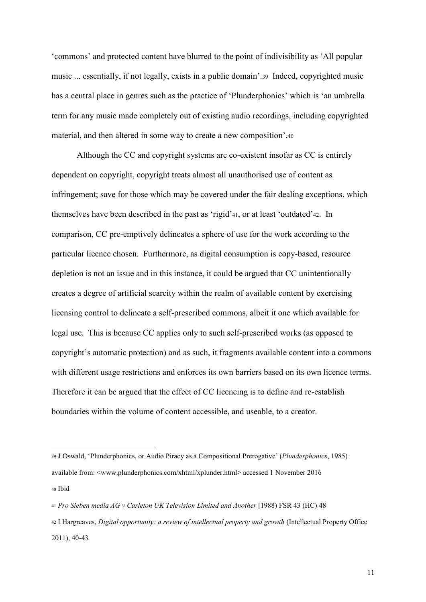'commons' and protected content have blurred to the point of indivisibility as 'All popular music ... essentially, if not legally, exists in a public domain'.<sup>39</sup>Indeed, copyrighted music has a central place in genres such as the practice of 'Plunderphonics' which is 'an umbrella term for any music made completely out of existing audio recordings, including copyrighted material, and then altered in some way to create a new composition'.<sup>40</sup>

Although the CC and copyright systems are co-existent insofar as CC is entirely dependent on copyright, copyright treats almost all unauthorised use of content as infringement; save for those which may be covered under the fair dealing exceptions, which themselves have been described in the past as 'rigid'41, or at least 'outdated'42. In comparison, CC pre-emptively delineates a sphere of use for the work according to the particular licence chosen. Furthermore, as digital consumption is copy-based, resource depletion is not an issue and in this instance, it could be argued that CC unintentionally creates a degree of artificial scarcity within the realm of available content by exercising licensing control to delineate a self-prescribed commons, albeit it one which available for legal use. This is because CC applies only to such self-prescribed works (as opposed to copyright's automatic protection) and as such, it fragments available content into a commons with different usage restrictions and enforces its own barriers based on its own licence terms. Therefore it can be argued that the effect of CC licencing is to define and re-establish boundaries within the volume of content accessible, and useable, to a creator.

1

<sup>39</sup> J Oswald, 'Plunderphonics, or Audio Piracy as a Compositional Prerogative' (*Plunderphonics*, 1985) available from: <www.plunderphonics.com/xhtml/xplunder.html> accessed 1 November 2016 <sup>40</sup> Ibid

<sup>41</sup> *Pro Sieben media AG v Carleton UK Television Limited and Another* [1988) FSR 43 (HC) 48

<sup>42</sup> I Hargreaves, *Digital opportunity: a review of intellectual property and growth* (Intellectual Property Office  $2011$ ), 40-43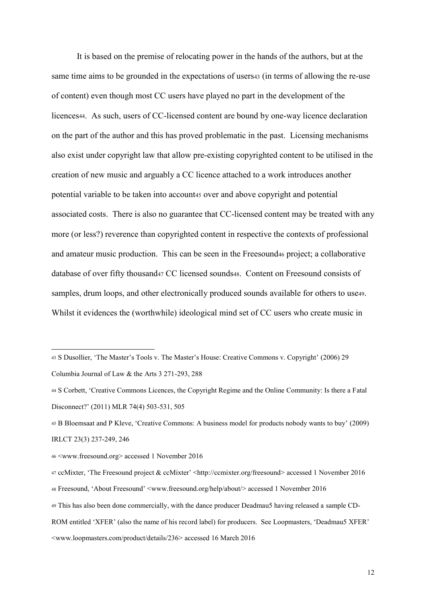It is based on the premise of relocating power in the hands of the authors, but at the same time aims to be grounded in the expectations of users<sup>43</sup> (in terms of allowing the re-use of content) even though most CC users have played no part in the development of the licences44. As such, users of CC-licensed content are bound by one-way licence declaration on the part of the author and this has proved problematic in the past. Licensing mechanisms also exist under copyright law that allow pre-existing copyrighted content to be utilised in the creation of new music and arguably a CC licence attached to a work introduces another potential variable to be taken into account<sup>45</sup> over and above copyright and potential associated costs. There is also no guarantee that CC-licensed content may be treated with any more (or less?) reverence than copyrighted content in respective the contexts of professional and amateur music production. This can be seen in the Freesound<sup>46</sup> project; a collaborative database of over fifty thousand<sup>47</sup> CC licensed sounds48. Content on Freesound consists of samples, drum loops, and other electronically produced sounds available for others to use49. Whilst it evidences the (worthwhile) ideological mind set of CC users who create music in

<sup>43</sup> S Dusollier, 'The Master's Tools v. The Master's House: Creative Commons v. Copyright' (2006) 29 Columbia Journal of Law & the Arts 3 271-293, 288

<sup>44</sup> S Corbett, 'Creative Commons Licences, the Copyright Regime and the Online Community: Is there a Fatal Disconnect?' (2011) MLR 74(4) 503-531, 505

<sup>45</sup> B Bloemsaat and P Kleve, 'Creative Commons: A business model for products nobody wants to buy' (2009) IRLCT 23(3) 237-249, 246

<sup>46</sup> <www.freesound.org> accessed 1 November 2016

<sup>47</sup> ccMixter, 'The Freesound project & ccMixter' <http://ccmixter.org/freesound> accessed 1 November 2016

<sup>48</sup> Freesound, 'About Freesound' <www.freesound.org/help/about/> accessed 1 November 2016

<sup>49</sup> This has also been done commercially, with the dance producer Deadmau5 having released a sample CD-

ROM entitled 'XFER' (also the name of his record label) for producers. See Loopmasters, 'Deadmau5 XFER' <www.loopmasters.com/product/details/236> accessed 16 March 2016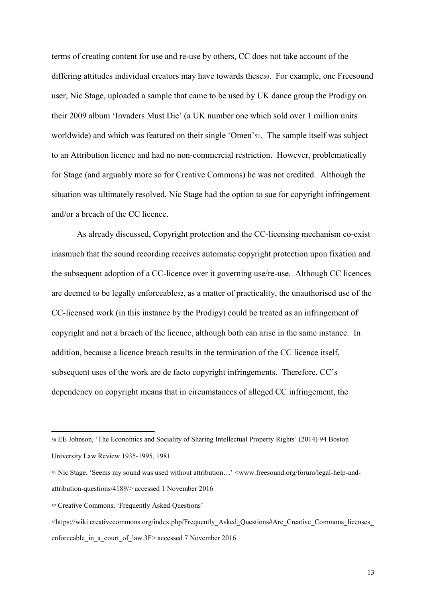terms of creating content for use and re-use by others, CC does not take account of the differing attitudes individual creators may have towards these50. For example, one Freesound user, Nic Stage, uploaded a sample that came to be used by UK dance group the Prodigy on their 2009 album 'Invaders Must Die' (a UK number one which sold over 1 million units worldwide) and which was featured on their single 'Omen'51. The sample itself was subject to an Attribution licence and had no non-commercial restriction. However, problematically for Stage (and arguably more so for Creative Commons) he was not credited. Although the situation was ultimately resolved, Nic Stage had the option to sue for copyright infringement and/or a breach of the CC licence.

As already discussed, Copyright protection and the CC-licensing mechanism co-exist inasmuch that the sound recording receives automatic copyright protection upon fixation and the subsequent adoption of a CC-licence over it governing use/re-use. Although CC licences are deemed to be legally enforceable52, as a matter of practicality, the unauthorised use of the CC-licensed work (in this instance by the Prodigy) could be treated as an infringement of copyright and not a breach of the licence, although both can arise in the same instance. In addition, because a licence breach results in the termination of the CC licence itself, subsequent uses of the work are de facto copyright infringements. Therefore, CC's dependency on copyright means that in circumstances of alleged CC infringement, the

<sup>50</sup> EE Johnson, 'The Economics and Sociality of Sharing Intellectual Property Rights' (2014) 94 Boston University Law Review 1935-1995, 1981

<sup>51</sup> Nic Stage, 'Seems my sound was used without attribution…' <www.freesound.org/forum/legal-help-andattribution-questions/4189/> accessed 1 November 2016

<sup>52</sup> Creative Commons, 'Frequently Asked Questions'

 $\lt$ https://wiki.creativecommons.org/index.php/Frequently\_Asked\_Questions#Are\_Creative\_Commons\_licenses enforceable in a court of law.3F> accessed 7 November 2016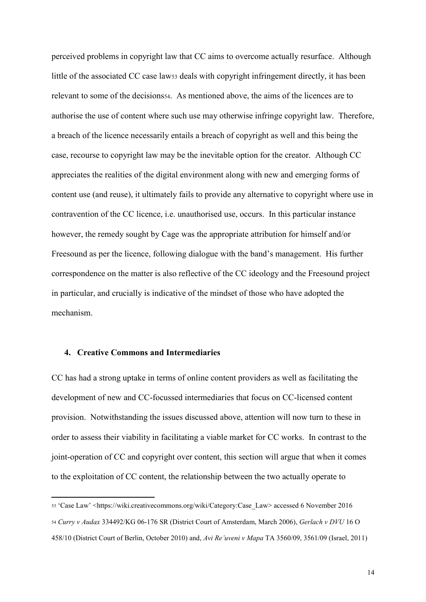perceived problems in copyright law that CC aims to overcome actually resurface. Although little of the associated CC case law<sub>53</sub> deals with copyright infringement directly, it has been relevant to some of the decisions54. As mentioned above, the aims of the licences are to authorise the use of content where such use may otherwise infringe copyright law. Therefore, a breach of the licence necessarily entails a breach of copyright as well and this being the case, recourse to copyright law may be the inevitable option for the creator. Although CC appreciates the realities of the digital environment along with new and emerging forms of content use (and reuse), it ultimately fails to provide any alternative to copyright where use in contravention of the CC licence, i.e. unauthorised use, occurs. In this particular instance however, the remedy sought by Cage was the appropriate attribution for himself and/or Freesound as per the licence, following dialogue with the band's management. His further correspondence on the matter is also reflective of the CC ideology and the Freesound project in particular, and crucially is indicative of the mindset of those who have adopted the mechanism.

#### **4. Creative Commons and Intermediaries**

1

CC has had a strong uptake in terms of online content providers as well as facilitating the development of new and CC-focussed intermediaries that focus on CC-licensed content provision. Notwithstanding the issues discussed above, attention will now turn to these in order to assess their viability in facilitating a viable market for CC works. In contrast to the joint-operation of CC and copyright over content, this section will argue that when it comes to the exploitation of CC content, the relationship between the two actually operate to

<sup>53</sup> 'Case Law' <https://wiki.creativecommons.org/wiki/Category:Case\_Law> accessed 6 November 2016 <sup>54</sup> *Curry v Audax* 334492/KG 06-176 SR (District Court of Amsterdam, March 2006), *Gerlach v DVU* 16 O 458/10 (District Court of Berlin, October 2010) and, *Avi Re'uveni v Mapa* TA 3560/09, 3561/09 (Israel, 2011)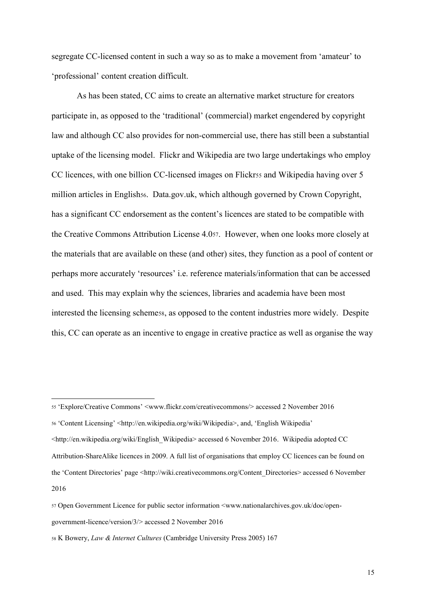segregate CC-licensed content in such a way so as to make a movement from 'amateur' to 'professional' content creation difficult.

As has been stated, CC aims to create an alternative market structure for creators participate in, as opposed to the 'traditional' (commercial) market engendered by copyright law and although CC also provides for non-commercial use, there has still been a substantial uptake of the licensing model. Flickr and Wikipedia are two large undertakings who employ CC licences, with one billion CC-licensed images on Flickrss and Wikipedia having over 5 million articles in English<sub>56</sub>. Data.gov.uk, which although governed by Crown Copyright, has a significant CC endorsement as the content's licences are stated to be compatible with the Creative Commons Attribution License 4.057. However, when one looks more closely at the materials that are available on these (and other) sites, they function as a pool of content or perhaps more accurately 'resources' i.e. reference materials/information that can be accessed and used. This may explain why the sciences, libraries and academia have been most interested the licensing schemess, as opposed to the content industries more widely. Despite this, CC can operate as an incentive to engage in creative practice as well as organise the way

<sup>56</sup> 'Content Licensing' <http://en.wikipedia.org/wiki/Wikipedia>, and, 'English Wikipedia'

<http://en.wikipedia.org/wiki/English\_Wikipedia> accessed 6 November 2016. Wikipedia adopted CC Attribution-ShareAlike licences in 2009. A full list of organisations that employ CC licences can be found on the 'Content Directories' page <http://wiki.creativecommons.org/Content\_Directories> accessed 6 November 2016

1

<sup>55</sup> 'Explore/Creative Commons' <www.flickr.com/creativecommons/> accessed 2 November 2016

<sup>57</sup> Open Government Licence for public sector information <www.nationalarchives.gov.uk/doc/open-

government-licence/version/3/> accessed 2 November 2016

<sup>58</sup> K Bowery, *Law & Internet Cultures* (Cambridge University Press 2005) 167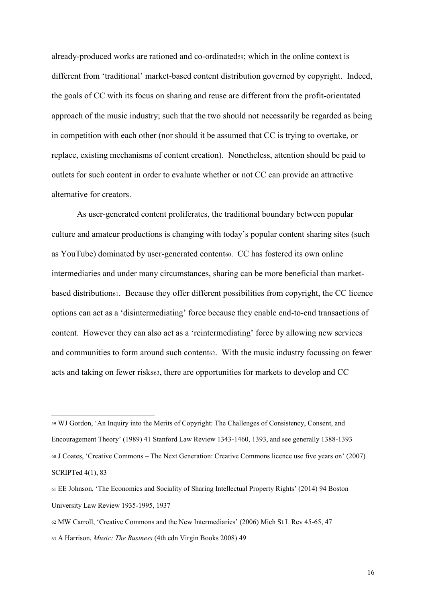already-produced works are rationed and co-ordinated59; which in the online context is different from 'traditional' market-based content distribution governed by copyright. Indeed, the goals of CC with its focus on sharing and reuse are different from the profit-orientated approach of the music industry; such that the two should not necessarily be regarded as being in competition with each other (nor should it be assumed that CC is trying to overtake, or replace, existing mechanisms of content creation). Nonetheless, attention should be paid to outlets for such content in order to evaluate whether or not CC can provide an attractive alternative for creators.

As user-generated content proliferates, the traditional boundary between popular culture and amateur productions is changing with today's popular content sharing sites (such as YouTube) dominated by user-generated content60. CC has fostered its own online intermediaries and under many circumstances, sharing can be more beneficial than marketbased distribution61. Because they offer different possibilities from copyright, the CC licence options can act as a 'disintermediating' force because they enable end-to-end transactions of content. However they can also act as a 'reintermediating' force by allowing new services and communities to form around such content62. With the music industry focussing on fewer acts and taking on fewer risks63, there are opportunities for markets to develop and CC

<sup>59</sup> WJ Gordon, 'An Inquiry into the Merits of Copyright: The Challenges of Consistency, Consent, and Encouragement Theory' (1989) 41 Stanford Law Review 1343-1460, 1393, and see generally 1388-1393 <sup>60</sup> J Coates, 'Creative Commons – The Next Generation: Creative Commons licence use five years on' (2007) SCRIPTed 4(1), 83

<sup>61</sup> EE Johnson, 'The Economics and Sociality of Sharing Intellectual Property Rights' (2014) 94 Boston University Law Review 1935-1995, 1937

<sup>62</sup> MW Carroll, 'Creative Commons and the New Intermediaries' (2006) Mich St L Rev 45-65, 47

<sup>63</sup> A Harrison, *Music: The Business* (4th edn Virgin Books 2008) 49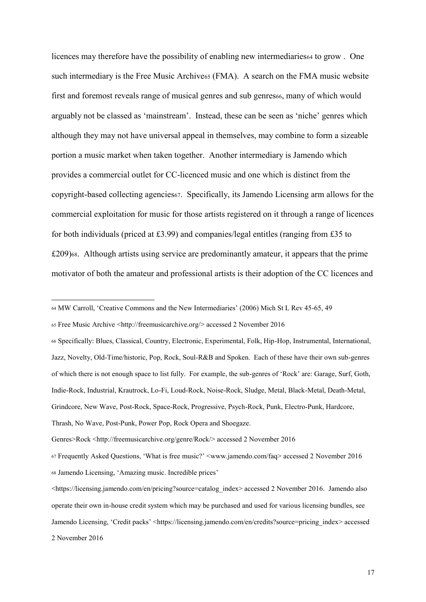licences may therefore have the possibility of enabling new intermediaries<sup>64</sup> to grow . One such intermediary is the Free Music Archive<sup>65</sup> (FMA). A search on the FMA music website first and foremost reveals range of musical genres and sub genres66, many of which would arguably not be classed as 'mainstream'. Instead, these can be seen as 'niche' genres which although they may not have universal appeal in themselves, may combine to form a sizeable portion a music market when taken together. Another intermediary is Jamendo which provides a commercial outlet for CC-licenced music and one which is distinct from the copyright-based collecting agencies67. Specifically, its Jamendo Licensing arm allows for the commercial exploitation for music for those artists registered on it through a range of licences for both individuals (priced at £3.99) and companies/legal entitles (ranging from £35 to £209)68. Although artists using service are predominantly amateur, it appears that the prime motivator of both the amateur and professional artists is their adoption of the CC licences and

**.** 

<sup>66</sup> Specifically: Blues, Classical, Country, Electronic, Experimental, Folk, Hip-Hop, Instrumental, International, Jazz, Novelty, Old-Time/historic, Pop, Rock, Soul-R&B and Spoken. Each of these have their own sub-genres of which there is not enough space to list fully. For example, the sub-genres of 'Rock' are: Garage, Surf, Goth, Indie-Rock, Industrial, Krautrock, Lo-Fi, Loud-Rock, Noise-Rock, Sludge, Metal, Black-Metal, Death-Metal, Grindcore, New Wave, Post-Rock, Space-Rock, Progressive, Psych-Rock, Punk, Electro-Punk, Hardcore, Thrash, No Wave, Post-Punk, Power Pop, Rock Opera and Shoegaze.

Genres>Rock <http://freemusicarchive.org/genre/Rock/> accessed 2 November 2016

<sup>64</sup> MW Carroll, 'Creative Commons and the New Intermediaries' (2006) Mich St L Rev 45-65, 49

<sup>65</sup> Free Music Archive <http://freemusicarchive.org/> accessed 2 November 2016

<sup>67</sup> Frequently Asked Questions, 'What is free music?' <www.jamendo.com/faq> accessed 2 November 2016 <sup>68</sup> Jamendo Licensing, 'Amazing music. Incredible prices'

<sup>&</sup>lt;https://licensing.jamendo.com/en/pricing?source=catalog\_index> accessed 2 November 2016. Jamendo also operate their own in-house credit system which may be purchased and used for various licensing bundles, see Jamendo Licensing, 'Credit packs' <https://licensing.jamendo.com/en/credits?source=pricing\_index> accessed 2 November 2016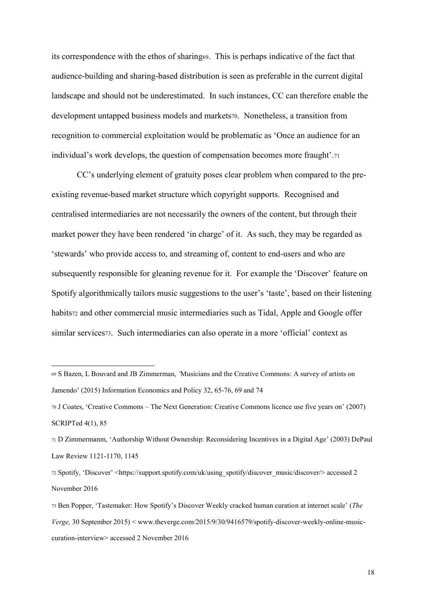its correspondence with the ethos of sharing69. This is perhaps indicative of the fact that audience-building and sharing-based distribution is seen as preferable in the current digital landscape and should not be underestimated. In such instances, CC can therefore enable the development untapped business models and markets70. Nonetheless, a transition from recognition to commercial exploitation would be problematic as 'Once an audience for an individual's work develops, the question of compensation becomes more fraught'.<sup>71</sup>

CC's underlying element of gratuity poses clear problem when compared to the preexisting revenue-based market structure which copyright supports. Recognised and centralised intermediaries are not necessarily the owners of the content, but through their market power they have been rendered 'in charge' of it. As such, they may be regarded as 'stewards' who provide access to, and streaming of, content to end-users and who are subsequently responsible for gleaning revenue for it. For example the 'Discover' feature on Spotify algorithmically tailors music suggestions to the user's 'taste', based on their listening habits<sub>72</sub> and other commercial music intermediaries such as Tidal, Apple and Google offer similar services73. Such intermediaries can also operate in a more 'official' context as

 $\overline{a}$ 

<sup>69</sup> S Bazen, L Bouvard and JB Zimmerman, *'*Musicians and the Creative Commons: A survey of artists on Jamendo' (2015) Information Economics and Policy 32, 65-76, 69 and 74

<sup>70</sup> J Coates, 'Creative Commons – The Next Generation: Creative Commons licence use five years on' (2007) SCRIPTed 4(1), 85

<sup>71</sup> D Zimmermanm, 'Authorship Without Ownership: Reconsidering Incentives in a Digital Age' (2003) DePaul Law Review 1121-1170, 1145

<sup>72</sup> Spotify, 'Discover' <https://support.spotify.com/uk/using\_spotify/discover\_music/discover/> accessed 2 November 2016

<sup>73</sup> Ben Popper, 'Tastemaker: How Spotify's Discover Weekly cracked human curation at internet scale' (*The Verge,* 30 September 2015) < www.theverge.com/2015/9/30/9416579/spotify-discover-weekly-online-musiccuration-interview> accessed 2 November 2016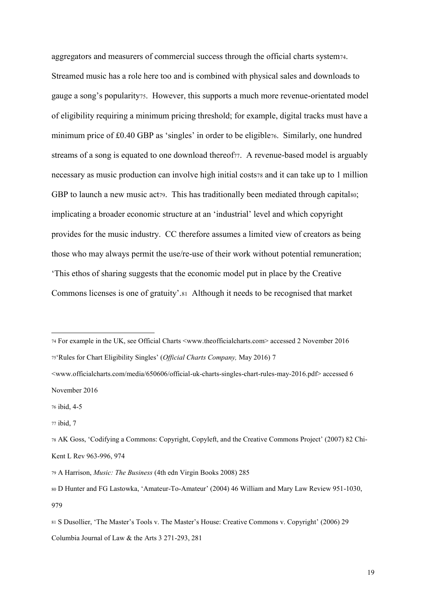aggregators and measurers of commercial success through the official charts system74. Streamed music has a role here too and is combined with physical sales and downloads to gauge a song's popularity75. However, this supports a much more revenue-orientated model of eligibility requiring a minimum pricing threshold; for example, digital tracks must have a minimum price of £0.40 GBP as 'singles' in order to be eligible76. Similarly, one hundred streams of a song is equated to one download thereof<sub>77</sub>. A revenue-based model is arguably necessary as music production can involve high initial costs<sup>78</sup> and it can take up to 1 million GBP to launch a new music act<sub>79</sub>. This has traditionally been mediated through capitalso; implicating a broader economic structure at an 'industrial' level and which copyright provides for the music industry. CC therefore assumes a limited view of creators as being those who may always permit the use/re-use of their work without potential remuneration; 'This ethos of sharing suggests that the economic model put in place by the Creative Commons licenses is one of gratuity'.81 Although it needs to be recognised that market

<sup>75</sup>'Rules for Chart Eligibility Singles' (*Official Charts Company,* May 2016) 7

<www.officialcharts.com/media/650606/official-uk-charts-singles-chart-rules-may-2016.pdf> accessed 6 November 2016

 $\overline{a}$ 

<sup>74</sup> For example in the UK, see Official Charts <www.theofficialcharts.com> accessed 2 November 2016

<sup>76</sup> ibid, 4-5

<sup>77</sup> ibid, 7

<sup>78</sup> AK Goss, 'Codifying a Commons: Copyright, Copyleft, and the Creative Commons Project' (2007) 82 Chi-Kent L Rev 963-996, 974

<sup>79</sup> A Harrison, *Music: The Business* (4th edn Virgin Books 2008) 285

<sup>80</sup> D Hunter and FG Lastowka, 'Amateur-To-Amateur' (2004) 46 William and Mary Law Review 951-1030, 979

<sup>81</sup> S Dusollier, 'The Master's Tools v. The Master's House: Creative Commons v. Copyright' (2006) 29 Columbia Journal of Law & the Arts 3 271-293, 281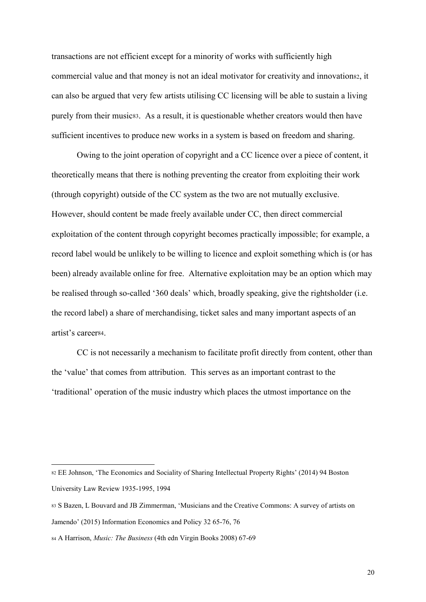transactions are not efficient except for a minority of works with sufficiently high commercial value and that money is not an ideal motivator for creativity and innovation82, it can also be argued that very few artists utilising CC licensing will be able to sustain a living purely from their music83. As a result, it is questionable whether creators would then have sufficient incentives to produce new works in a system is based on freedom and sharing.

Owing to the joint operation of copyright and a CC licence over a piece of content, it theoretically means that there is nothing preventing the creator from exploiting their work (through copyright) outside of the CC system as the two are not mutually exclusive. However, should content be made freely available under CC, then direct commercial exploitation of the content through copyright becomes practically impossible; for example, a record label would be unlikely to be willing to licence and exploit something which is (or has been) already available online for free. Alternative exploitation may be an option which may be realised through so-called '360 deals' which, broadly speaking, give the rightsholder (i.e. the record label) a share of merchandising, ticket sales and many important aspects of an artist's career84.

CC is not necessarily a mechanism to facilitate profit directly from content, other than the 'value' that comes from attribution. This serves as an important contrast to the 'traditional' operation of the music industry which places the utmost importance on the

<sup>82</sup> EE Johnson, 'The Economics and Sociality of Sharing Intellectual Property Rights' (2014) 94 Boston University Law Review 1935-1995, 1994

<sup>83</sup> S Bazen, L Bouvard and JB Zimmerman, 'Musicians and the Creative Commons: A survey of artists on Jamendo' (2015) Information Economics and Policy 32 65-76, 76

<sup>84</sup> A Harrison, *Music: The Business* (4th edn Virgin Books 2008) 67-69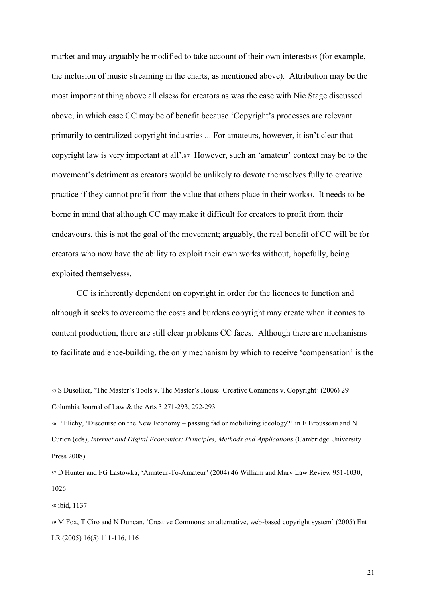market and may arguably be modified to take account of their own interests of for example, the inclusion of music streaming in the charts, as mentioned above). Attribution may be the most important thing above all elses for creators as was the case with Nic Stage discussed above; in which case CC may be of benefit because 'Copyright's processes are relevant primarily to centralized copyright industries ... For amateurs, however, it isn't clear that copyright law is very important at all'.<sup>87</sup> However, such an 'amateur' context may be to the movement's detriment as creators would be unlikely to devote themselves fully to creative practice if they cannot profit from the value that others place in their works. It needs to be borne in mind that although CC may make it difficult for creators to profit from their endeavours, this is not the goal of the movement; arguably, the real benefit of CC will be for creators who now have the ability to exploit their own works without, hopefully, being exploited themselvess9.

CC is inherently dependent on copyright in order for the licences to function and although it seeks to overcome the costs and burdens copyright may create when it comes to content production, there are still clear problems CC faces. Although there are mechanisms to facilitate audience-building, the only mechanism by which to receive 'compensation' is the

<sup>86</sup> P Flichy, 'Discourse on the New Economy – passing fad or mobilizing ideology?' in E Brousseau and N Curien (eds), *Internet and Digital Economics: Principles, Methods and Applications* (Cambridge University Press 2008)

<sup>88</sup> ibid, 1137

<sup>85</sup> S Dusollier, 'The Master's Tools v. The Master's House: Creative Commons v. Copyright' (2006) 29 Columbia Journal of Law & the Arts 3 271-293, 292-293

<sup>87</sup> D Hunter and FG Lastowka, 'Amateur-To-Amateur' (2004) 46 William and Mary Law Review 951-1030, 1026

<sup>89</sup> M Fox, T Ciro and N Duncan, 'Creative Commons: an alternative, web-based copyright system' (2005) Ent LR (2005) 16(5) 111-116, 116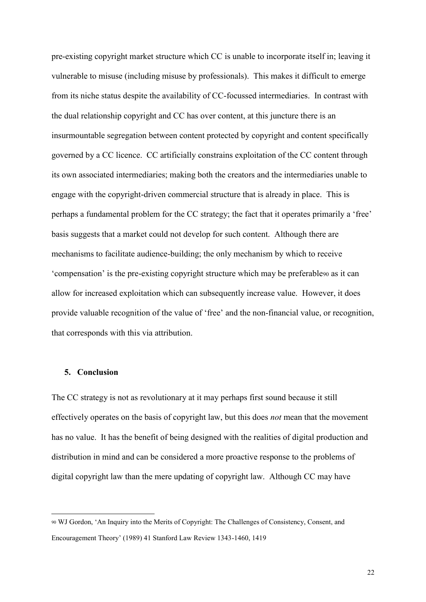pre-existing copyright market structure which CC is unable to incorporate itself in; leaving it vulnerable to misuse (including misuse by professionals). This makes it difficult to emerge from its niche status despite the availability of CC-focussed intermediaries. In contrast with the dual relationship copyright and CC has over content, at this juncture there is an insurmountable segregation between content protected by copyright and content specifically governed by a CC licence. CC artificially constrains exploitation of the CC content through its own associated intermediaries; making both the creators and the intermediaries unable to engage with the copyright-driven commercial structure that is already in place. This is perhaps a fundamental problem for the CC strategy; the fact that it operates primarily a 'free' basis suggests that a market could not develop for such content. Although there are mechanisms to facilitate audience-building; the only mechanism by which to receive 'compensation' is the pre-existing copyright structure which may be preferable<sup>90</sup> as it can allow for increased exploitation which can subsequently increase value. However, it does provide valuable recognition of the value of 'free' and the non-financial value, or recognition, that corresponds with this via attribution.

## **5. Conclusion**

**.** 

The CC strategy is not as revolutionary at it may perhaps first sound because it still effectively operates on the basis of copyright law, but this does *not* mean that the movement has no value. It has the benefit of being designed with the realities of digital production and distribution in mind and can be considered a more proactive response to the problems of digital copyright law than the mere updating of copyright law. Although CC may have

<sup>90</sup> WJ Gordon, 'An Inquiry into the Merits of Copyright: The Challenges of Consistency, Consent, and Encouragement Theory' (1989) 41 Stanford Law Review 1343-1460, 1419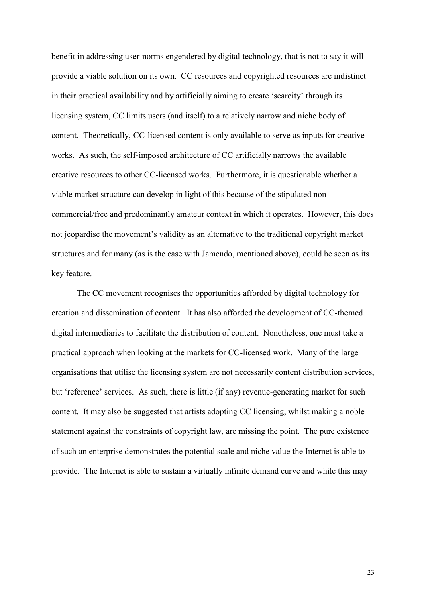benefit in addressing user-norms engendered by digital technology, that is not to say it will provide a viable solution on its own. CC resources and copyrighted resources are indistinct in their practical availability and by artificially aiming to create 'scarcity' through its licensing system, CC limits users (and itself) to a relatively narrow and niche body of content. Theoretically, CC-licensed content is only available to serve as inputs for creative works. As such, the self-imposed architecture of CC artificially narrows the available creative resources to other CC-licensed works. Furthermore, it is questionable whether a viable market structure can develop in light of this because of the stipulated noncommercial/free and predominantly amateur context in which it operates. However, this does not jeopardise the movement's validity as an alternative to the traditional copyright market structures and for many (as is the case with Jamendo, mentioned above), could be seen as its key feature.

The CC movement recognises the opportunities afforded by digital technology for creation and dissemination of content. It has also afforded the development of CC-themed digital intermediaries to facilitate the distribution of content. Nonetheless, one must take a practical approach when looking at the markets for CC-licensed work. Many of the large organisations that utilise the licensing system are not necessarily content distribution services, but 'reference' services. As such, there is little (if any) revenue-generating market for such content. It may also be suggested that artists adopting CC licensing, whilst making a noble statement against the constraints of copyright law, are missing the point. The pure existence of such an enterprise demonstrates the potential scale and niche value the Internet is able to provide. The Internet is able to sustain a virtually infinite demand curve and while this may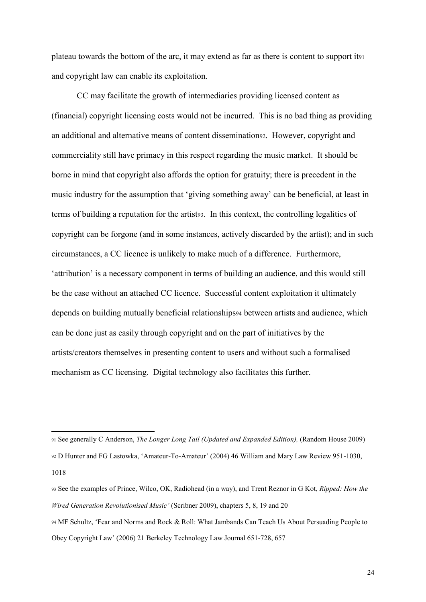plateau towards the bottom of the arc, it may extend as far as there is content to support it<sup>91</sup> and copyright law can enable its exploitation.

CC may facilitate the growth of intermediaries providing licensed content as (financial) copyright licensing costs would not be incurred. This is no bad thing as providing an additional and alternative means of content dissemination92. However, copyright and commerciality still have primacy in this respect regarding the music market. It should be borne in mind that copyright also affords the option for gratuity; there is precedent in the music industry for the assumption that 'giving something away' can be beneficial, at least in terms of building a reputation for the artist93. In this context, the controlling legalities of copyright can be forgone (and in some instances, actively discarded by the artist); and in such circumstances, a CC licence is unlikely to make much of a difference. Furthermore, 'attribution' is a necessary component in terms of building an audience, and this would still be the case without an attached CC licence. Successful content exploitation it ultimately depends on building mutually beneficial relationships<sup>94</sup> between artists and audience, which can be done just as easily through copyright and on the part of initiatives by the artists/creators themselves in presenting content to users and without such a formalised mechanism as CC licensing. Digital technology also facilitates this further.

<sup>91</sup> See generally C Anderson, *The Longer Long Tail (Updated and Expanded Edition),* (Random House 2009) <sup>92</sup> D Hunter and FG Lastowka, 'Amateur-To-Amateur' (2004) 46 William and Mary Law Review 951-1030,

<sup>1018</sup>

<sup>93</sup> See the examples of Prince, Wilco, OK, Radiohead (in a way), and Trent Reznor in G Kot, *Ripped: How the Wired Generation Revolutionised Music'* (Scribner 2009), chapters 5, 8, 19 and 20

<sup>94</sup> MF Schultz, 'Fear and Norms and Rock & Roll: What Jambands Can Teach Us About Persuading People to Obey Copyright Law' (2006) 21 Berkeley Technology Law Journal 651-728, 657